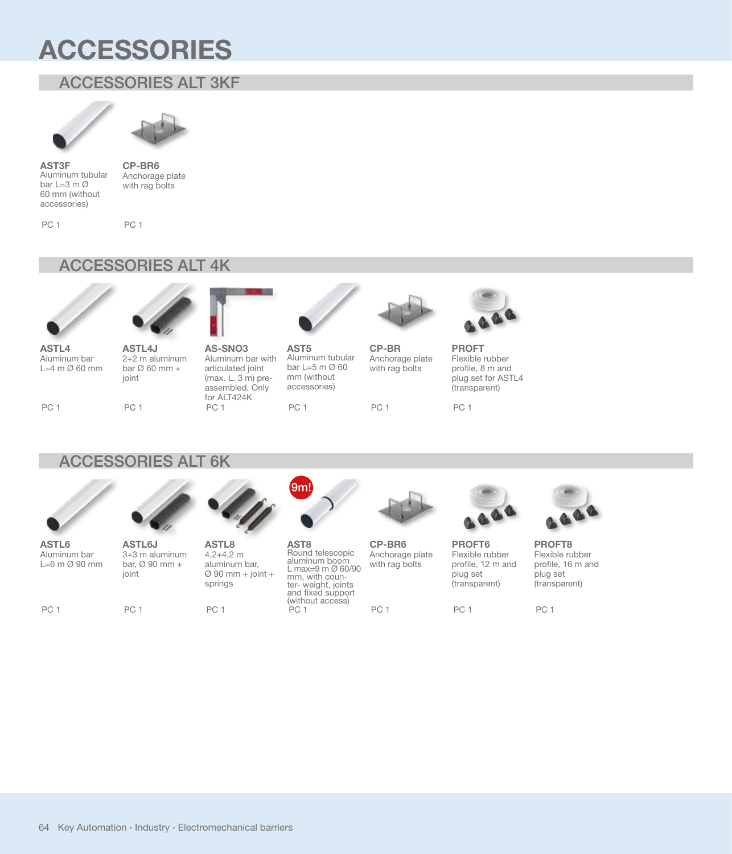# **ACCESSORIES**

## ACCESSORI ACCESSORIES ALT 3KF





**AST3F** Aluminum tubular bar L=3 m Ø 60 mm (without accessories)

**CP-BR6** Anchorage plate with rag bolts

PC 1

PC 1

#### ACCESSORI ACCESSORIES ALT 4K





**ASTL4** Aluminum bar L=4 m Ø 60 mm

PC 1

**ASTL4J** 2+2 m aluminum bar  $\varnothing$  60 mm + joint



**AST5** Aluminum tubular bar L=5 m Ø 60 mm (without accessories)

PC 1



**CP-BR6**

PC 1

with rag bolts

with rag bolts PC 1



**PROFT** Flexible rubber profile, 8 m and plug set for ASTL4 (transparent)

PC 1

# ACCESSORI ACCESSORIES ALT 6K

PC 1

**ASTL6J**

joint

PC 1

bar, Ø 90 mm +



**ASTL6** Aluminum bar L=6 m Ø 90 mm

PC 1

3+3 m aluminum **ASTL8** 4,2+4,2 m

aluminum bar,

assembled. Only for ALT424K

PC 1

springs

PC<sub>1</sub>



 $\varnothing$  90 mm + joint + **AST8** Round telescopic aluminum boom L max=9 m Ø 60/90 mm, with coun-<br>ter- weight, joints and fixed support (without access) PC<sub>1</sub>



Anchorage plate **PROFT6** Flexible rubber profile, 12 m and plug set (transparent)

PC 1



**PROFT8** Flexible rubber profile, 16 m and plug set (transparent)

PC<sub>1</sub>

64 Key Automation **·** Industry **·** Electromechanical barriers